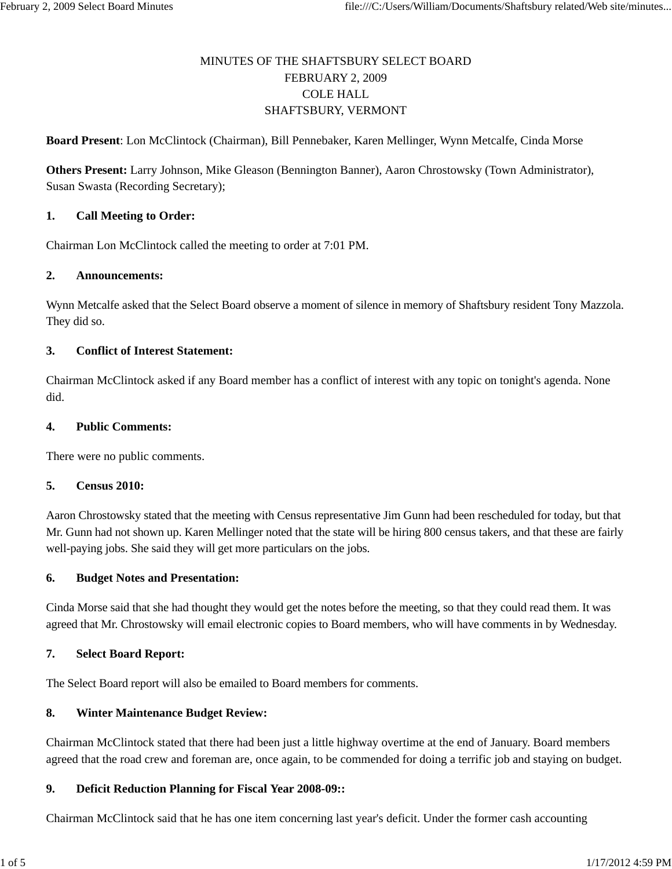# MINUTES OF THE SHAFTSBURY SELECT BOARD FEBRUARY 2, 2009 COLE HALL SHAFTSBURY, VERMONT

**Board Present**: Lon McClintock (Chairman), Bill Pennebaker, Karen Mellinger, Wynn Metcalfe, Cinda Morse

**Others Present:** Larry Johnson, Mike Gleason (Bennington Banner), Aaron Chrostowsky (Town Administrator), Susan Swasta (Recording Secretary);

#### **1. Call Meeting to Order:**

Chairman Lon McClintock called the meeting to order at 7:01 PM.

#### **2. Announcements:**

Wynn Metcalfe asked that the Select Board observe a moment of silence in memory of Shaftsbury resident Tony Mazzola. They did so.

### **3. Conflict of Interest Statement:**

Chairman McClintock asked if any Board member has a conflict of interest with any topic on tonight's agenda. None did.

#### **4. Public Comments:**

There were no public comments.

#### **5. Census 2010:**

Aaron Chrostowsky stated that the meeting with Census representative Jim Gunn had been rescheduled for today, but that Mr. Gunn had not shown up. Karen Mellinger noted that the state will be hiring 800 census takers, and that these are fairly well-paying jobs. She said they will get more particulars on the jobs.

### **6. Budget Notes and Presentation:**

Cinda Morse said that she had thought they would get the notes before the meeting, so that they could read them. It was agreed that Mr. Chrostowsky will email electronic copies to Board members, who will have comments in by Wednesday.

#### **7. Select Board Report:**

The Select Board report will also be emailed to Board members for comments.

### **8. Winter Maintenance Budget Review:**

Chairman McClintock stated that there had been just a little highway overtime at the end of January. Board members agreed that the road crew and foreman are, once again, to be commended for doing a terrific job and staying on budget.

### **9. Deficit Reduction Planning for Fiscal Year 2008-09::**

Chairman McClintock said that he has one item concerning last year's deficit. Under the former cash accounting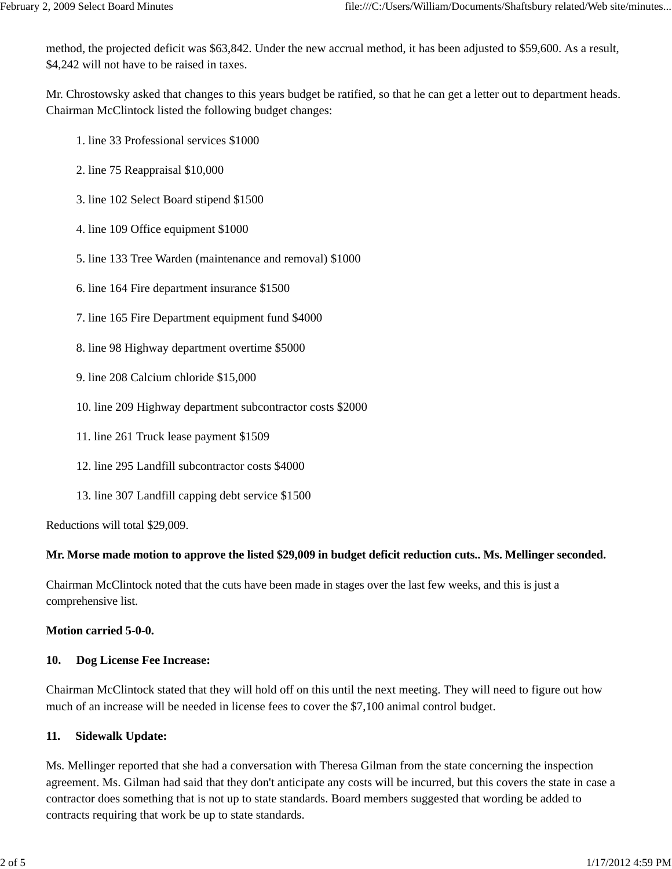method, the projected deficit was \$63,842. Under the new accrual method, it has been adjusted to \$59,600. As a result, \$4,242 will not have to be raised in taxes.

Mr. Chrostowsky asked that changes to this years budget be ratified, so that he can get a letter out to department heads. Chairman McClintock listed the following budget changes:

- 1. line 33 Professional services \$1000
- 2. line 75 Reappraisal \$10,000
- 3. line 102 Select Board stipend \$1500
- 4. line 109 Office equipment \$1000
- 5. line 133 Tree Warden (maintenance and removal) \$1000
- 6. line 164 Fire department insurance \$1500
- 7. line 165 Fire Department equipment fund \$4000
- 8. line 98 Highway department overtime \$5000
- 9. line 208 Calcium chloride \$15,000
- 10. line 209 Highway department subcontractor costs \$2000
- 11. line 261 Truck lease payment \$1509
- 12. line 295 Landfill subcontractor costs \$4000
- 13. line 307 Landfill capping debt service \$1500

Reductions will total \$29,009.

### **Mr. Morse made motion to approve the listed \$29,009 in budget deficit reduction cuts.. Ms. Mellinger seconded.**

Chairman McClintock noted that the cuts have been made in stages over the last few weeks, and this is just a comprehensive list.

**Motion carried 5-0-0.**

### **10. Dog License Fee Increase:**

Chairman McClintock stated that they will hold off on this until the next meeting. They will need to figure out how much of an increase will be needed in license fees to cover the \$7,100 animal control budget.

## **11. Sidewalk Update:**

Ms. Mellinger reported that she had a conversation with Theresa Gilman from the state concerning the inspection agreement. Ms. Gilman had said that they don't anticipate any costs will be incurred, but this covers the state in case a contractor does something that is not up to state standards. Board members suggested that wording be added to contracts requiring that work be up to state standards.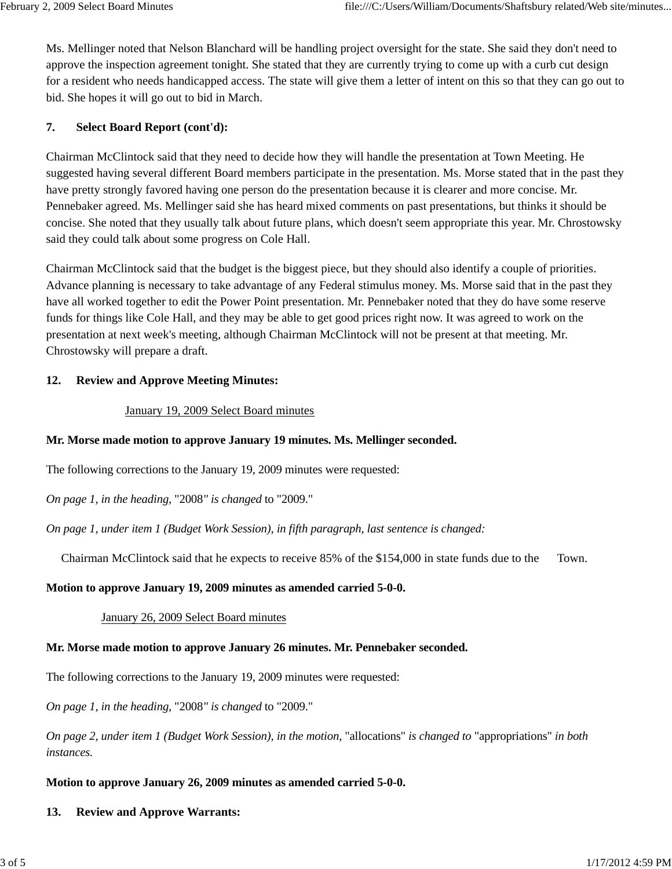Ms. Mellinger noted that Nelson Blanchard will be handling project oversight for the state. She said they don't need to approve the inspection agreement tonight. She stated that they are currently trying to come up with a curb cut design for a resident who needs handicapped access. The state will give them a letter of intent on this so that they can go out to bid. She hopes it will go out to bid in March.

# **7. Select Board Report (cont'd):**

Chairman McClintock said that they need to decide how they will handle the presentation at Town Meeting. He suggested having several different Board members participate in the presentation. Ms. Morse stated that in the past they have pretty strongly favored having one person do the presentation because it is clearer and more concise. Mr. Pennebaker agreed. Ms. Mellinger said she has heard mixed comments on past presentations, but thinks it should be concise. She noted that they usually talk about future plans, which doesn't seem appropriate this year. Mr. Chrostowsky said they could talk about some progress on Cole Hall.

Chairman McClintock said that the budget is the biggest piece, but they should also identify a couple of priorities. Advance planning is necessary to take advantage of any Federal stimulus money. Ms. Morse said that in the past they have all worked together to edit the Power Point presentation. Mr. Pennebaker noted that they do have some reserve funds for things like Cole Hall, and they may be able to get good prices right now. It was agreed to work on the presentation at next week's meeting, although Chairman McClintock will not be present at that meeting. Mr. Chrostowsky will prepare a draft.

## **12. Review and Approve Meeting Minutes:**

## January 19, 2009 Select Board minutes

## **Mr. Morse made motion to approve January 19 minutes. Ms. Mellinger seconded.**

The following corrections to the January 19, 2009 minutes were requested:

*On page 1, in the heading,* "2008*" is changed* to "2009."

*On page 1, under item 1 (Budget Work Session), in fifth paragraph, last sentence is changed:*

Chairman McClintock said that he expects to receive 85% of the \$154,000 in state funds due to the Town.

## **Motion to approve January 19, 2009 minutes as amended carried 5-0-0.**

## January 26, 2009 Select Board minutes

## **Mr. Morse made motion to approve January 26 minutes. Mr. Pennebaker seconded.**

The following corrections to the January 19, 2009 minutes were requested:

*On page 1, in the heading,* "2008*" is changed* to "2009."

*On page 2, under item 1 (Budget Work Session), in the motion,* "allocations" *is changed to* "appropriations" *in both instances.*

# **Motion to approve January 26, 2009 minutes as amended carried 5-0-0.**

# **13. Review and Approve Warrants:**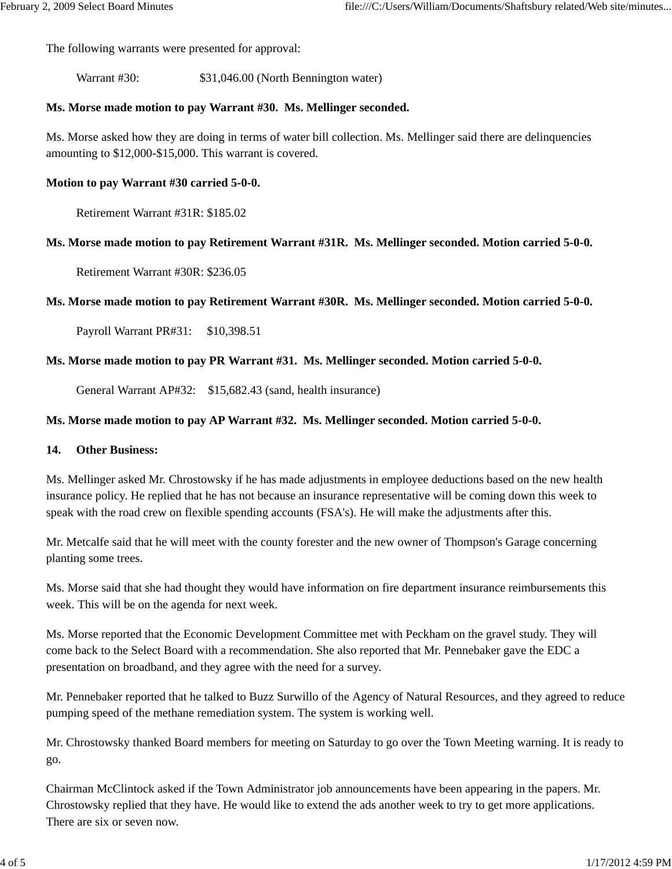The following warrants were presented for approval:

Warrant #30:  $$31,046.00$  (North Bennington water)

### **Ms. Morse made motion to pay Warrant #30. Ms. Mellinger seconded.**

Ms. Morse asked how they are doing in terms of water bill collection. Ms. Mellinger said there are delinquencies amounting to \$12,000-\$15,000. This warrant is covered.

### **Motion to pay Warrant #30 carried 5-0-0.**

Retirement Warrant #31R: \$185.02

### **Ms. Morse made motion to pay Retirement Warrant #31R. Ms. Mellinger seconded. Motion carried 5-0-0.**

Retirement Warrant #30R: \$236.05

### **Ms. Morse made motion to pay Retirement Warrant #30R. Ms. Mellinger seconded. Motion carried 5-0-0.**

Payroll Warrant PR#31: \$10,398.51

### **Ms. Morse made motion to pay PR Warrant #31. Ms. Mellinger seconded. Motion carried 5-0-0.**

General Warrant AP#32: \$15,682.43 (sand, health insurance)

### **Ms. Morse made motion to pay AP Warrant #32. Ms. Mellinger seconded. Motion carried 5-0-0.**

### **14. Other Business:**

Ms. Mellinger asked Mr. Chrostowsky if he has made adjustments in employee deductions based on the new health insurance policy. He replied that he has not because an insurance representative will be coming down this week to speak with the road crew on flexible spending accounts (FSA's). He will make the adjustments after this.

Mr. Metcalfe said that he will meet with the county forester and the new owner of Thompson's Garage concerning planting some trees.

Ms. Morse said that she had thought they would have information on fire department insurance reimbursements this week. This will be on the agenda for next week.

Ms. Morse reported that the Economic Development Committee met with Peckham on the gravel study. They will come back to the Select Board with a recommendation. She also reported that Mr. Pennebaker gave the EDC a presentation on broadband, and they agree with the need for a survey.

Mr. Pennebaker reported that he talked to Buzz Surwillo of the Agency of Natural Resources, and they agreed to reduce pumping speed of the methane remediation system. The system is working well.

Mr. Chrostowsky thanked Board members for meeting on Saturday to go over the Town Meeting warning. It is ready to go.

Chairman McClintock asked if the Town Administrator job announcements have been appearing in the papers. Mr. Chrostowsky replied that they have. He would like to extend the ads another week to try to get more applications. There are six or seven now.